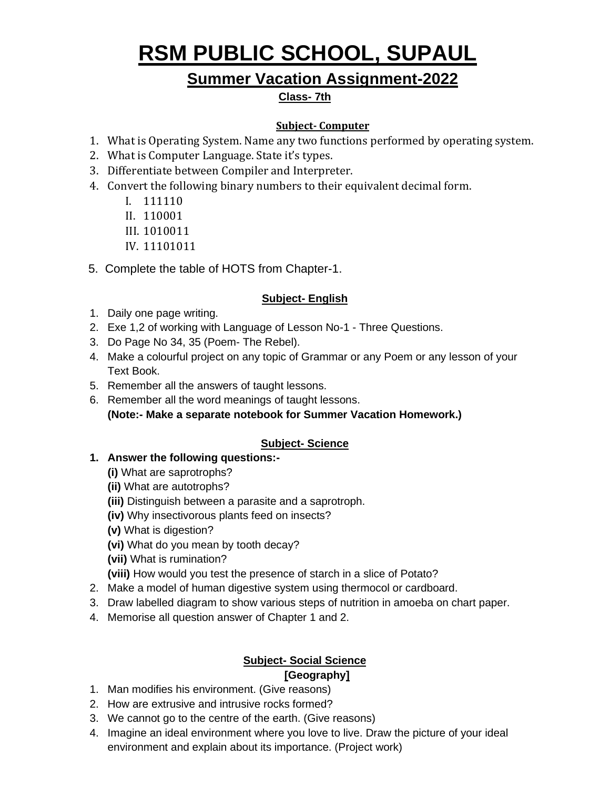# **RSM PUBLIC SCHOOL, SUPAUL**

# **Summer Vacation Assignment-2022**

### **Class- 7th**

### **Subject- Computer**

- 1. What is Operating System. Name any two functions performed by operating system.
- 2. What is Computer Language. State it's types.
- 3. Differentiate between Compiler and Interpreter.
- 4. Convert the following binary numbers to their equivalent decimal form.
	- I. 111110
	- II. 110001
	- III. 1010011
	- IV. 11101011
- 5. Complete the table of HOTS from Chapter-1.

#### **Subject- English**

- 1. Daily one page writing.
- 2. Exe 1,2 of working with Language of Lesson No-1 Three Questions.
- 3. Do Page No 34, 35 (Poem- The Rebel).
- 4. Make a colourful project on any topic of Grammar or any Poem or any lesson of your Text Book.
- 5. Remember all the answers of taught lessons.
- 6. Remember all the word meanings of taught lessons. **(Note:- Make a separate notebook for Summer Vacation Homework.)**

## **Subject- Science**

- **1. Answer the following questions:-**
	- **(i)** What are saprotrophs?
	- **(ii)** What are autotrophs?
	- **(iii)** Distinguish between a parasite and a saprotroph.
	- **(iv)** Why insectivorous plants feed on insects?
	- **(v)** What is digestion?
	- **(vi)** What do you mean by tooth decay?
	- **(vii)** What is rumination?
	- **(viii)** How would you test the presence of starch in a slice of Potato?
- 2. Make a model of human digestive system using thermocol or cardboard.
- 3. Draw labelled diagram to show various steps of nutrition in amoeba on chart paper.
- 4. Memorise all question answer of Chapter 1 and 2.

# **Subject- Social Science**

# **[Geography]**

- 1. Man modifies his environment. (Give reasons)
- 2. How are extrusive and intrusive rocks formed?
- 3. We cannot go to the centre of the earth. (Give reasons)
- 4. Imagine an ideal environment where you love to live. Draw the picture of your ideal environment and explain about its importance. (Project work)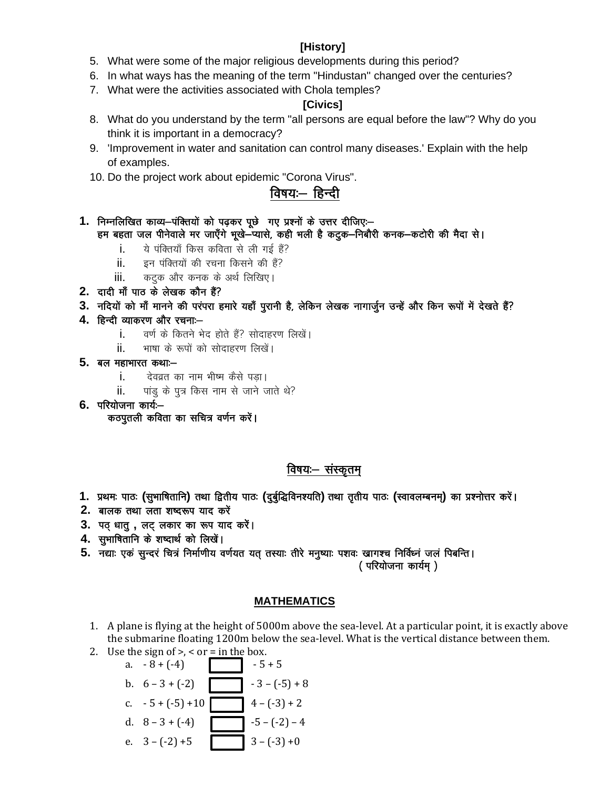#### [History]

- 5. What were some of the major religious developments during this period?
- 6. In what ways has the meaning of the term "Hindustan" changed over the centuries?
- 7. What were the activities associated with Chola temples?

#### [Civics]

- 8. What do you understand by the term "all persons are equal before the law"? Why do you think it is important in a democracy?
- 9. 'Improvement in water and sanitation can control many diseases.' Explain with the help of examples.
- 10. Do the project work about epidemic "Corona Virus".

# विषयः— हिन्दी

- 1. निम्नलिखित काव्य-पंक्तियों को पढकर पछे गए प्रश्नों के उत्तर दीजिएः-हम बहता जल पीनेवाले मर जाएँगे भूखे-प्यासे, कही भली है कटुक-निबौरी कनक-कटोरी की मैदा से।
	- ये पंक्तियाँ किस कविता से ली गई हैं? i.
	- इन पंक्तियों की रचना किसने की हैं? ii.
	- कटूक और कनक के अर्थ लिखिए। iii.
- 2. दादी माँ पाठ के लेखक कौन हैं?
- 3. नदियों को माँ मानने की परंपरा हमारे यहाँ पुरानी है, लेकिन लेखक नागार्जुन उन्हें और किन रूपों में देखते हैं?
- 4. हिन्दी व्याकरण और रचनाः
	- i. वर्ण के कितने भेद होते हैं? सोदाहरण लिखें।
	- भाषा के रूपों को सोदाहरण लिखें। ii.
- $5.$  बल महाभारत कथाः $$ 
	- i. देवव्रत का नाम भीष्म कैसे पड़ा।
	- पांडू के पुत्र किस नाम से जाने जाते थे? ii.
- $6.$  परियोजना कार्यः $-$

कठपूतली कविता का सचित्र वर्णन करें।

# विषयः- संस्कृतम्

- 1. प्रथमः पाठः (सुभाषितानि) तथा द्वितीय पाठः (दुर्बुद्धिविनश्यति) तथा तृतीय पाठः (स्वावलम्बनम्) का प्रश्नोत्तर करें।
- 2. बालक तथा लता शष्दरूप याद करें
- 3. पठ धातू, लट लकार का रूप याद करें।
- 4. सुभाषितानि के शष्दार्थ को लिखें।
- 5. नद्याः एकं सुन्दरं चित्रं निर्माणीय वर्णयत यत् तस्याः तीरे मनुष्याः पशवः खागश्च निर्विध्नं जलं पिबन्ति ।

(परियोजना कार्यम्)

#### **MATHEMATICS**

- 1. A plane is flying at the height of 5000m above the sea-level. At a particular point, it is exactly above the submarine floating 1200m below the sea-level. What is the vertical distance between them.
- 2. Use the sign of >, < or = in the box.

a. 
$$
-8 + (-4)
$$
  
\nb.  $6 - 3 + (-2)$   
\nc.  $-5 + (-5) + 10$   
\nd.  $8 - 3 + (-4)$   
\ne.  $3 - (-2) + 5$   
\n $3 - (-3) + 0$   
\n $3 - (-3) + 0$